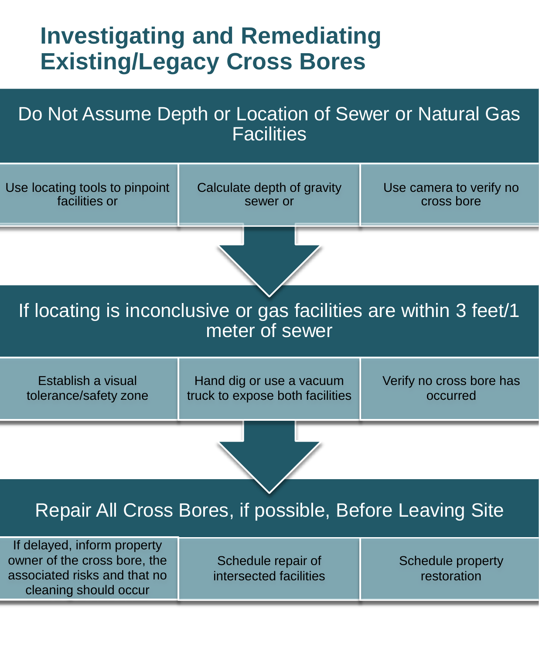## **Investigating and Remediating Existing/Legacy Cross Bores**